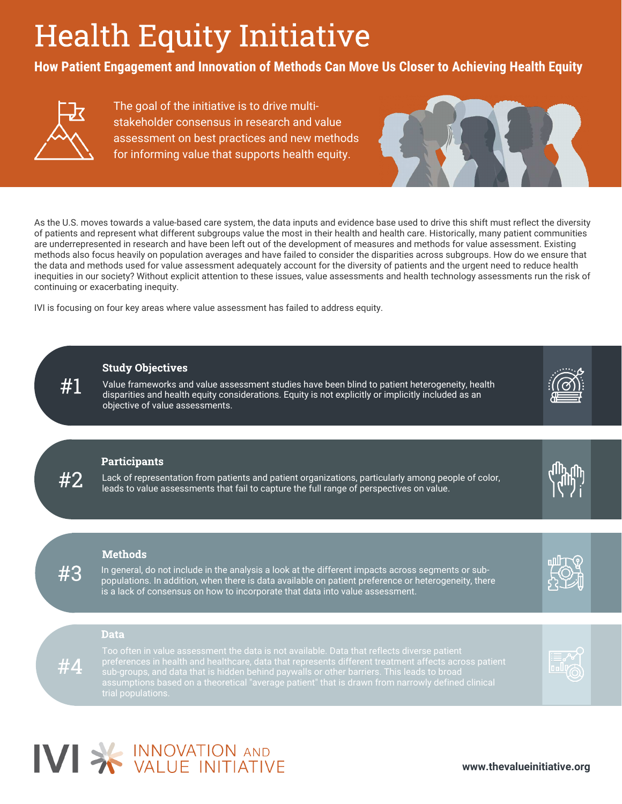## Health Equity Initiative

**How Patient Engagement and Innovation of Methods Can Move Us Closer to Achieving Health Equity**



The goal of the initiative is to drive multistakeholder consensus in research and value assessment on best practices and new methods for informing value that supports health equity.



As the U.S. moves towards a value-based care system, the data inputs and evidence base used to drive this shift must reflect the diversity of patients and represent what different subgroups value the most in their health and health care. Historically, many patient communities are underrepresented in research and have been left out of the development of measures and methods for value assessment. Existing methods also focus heavily on population averages and have failed to consider the disparities across subgroups. How do we ensure that the data and methods used for value assessment adequately account for the diversity of patients and the urgent need to reduce health inequities in our society? Without explicit attention to these issues, value assessments and health technology assessments run the risk of continuing or exacerbating inequity.

IVI is focusing on four key areas where value assessment has failed to address equity.

### Study Objectives

Value frameworks and value assessment studies have been blind to patient heterogeneity, health disparities and health equity considerations. Equity is not explicitly or implicitly included as an objective of value assessments.

### **Participants**

#2

#1

#3

#4

Lack of representation from patients and patient organizations, particularly among people of color, leads to value assessments that fail to capture the full range of perspectives on value.



In general, do not include in the analysis a look at the different impacts across segments or subpopulations. In addition, when there is data available on patient preference or heterogeneity, there is a lack of consensus on how to incorporate that data into value assessment.

# ա⊔⊤∖ւ

Too often in value assessment the data is not available. Data that reflects diverse patient preferences in health and healthcare, data that represents different treatment affects across patient assumptions based on a theoretical "average patient" that is drawn from narrowly defined clinical trial populations.